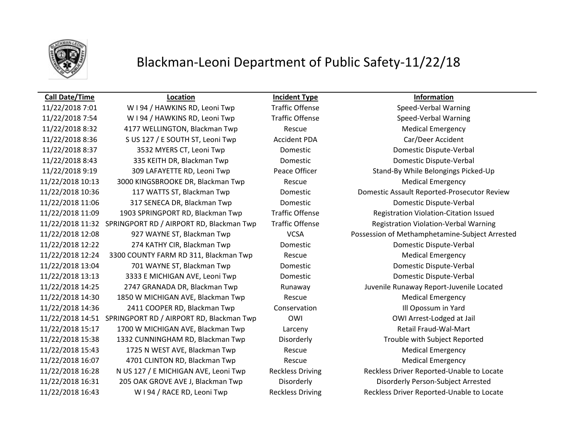

## Blackman-Leoni Department of Public Safety-11/22/18

## **Call Date/Time Location Incident Type Information**

11/22/2018 7:01 W I 94 / HAWKINS RD, Leoni Twp Traffic Offense Speed-Verbal Warning 11/22/2018 7:54 W I 94 / HAWKINS RD, Leoni Twp Traffic Offense Speed-Verbal Warning 11/22/2018 8:32 4177 WELLINGTON, Blackman Twp Rescue Medical Emergency 11/22/2018 8:36 S US 127 / E SOUTH ST, Leoni Twp Accident PDA Car/Deer Accident 11/22/2018 8:37 3532 MYERS CT, Leoni Twp Domestic Domestic Dispute-Verbal 11/22/2018 8:43 335 KEITH DR, Blackman Twp Domestic Domestic Dispute-Verbal 11/22/2018 9:19 309 LAFAYETTE RD, Leoni Twp Peace Officer Stand-By While Belongings Picked-Up 11/22/2018 10:13 3000 KINGSBROOKE DR, Blackman Twp Rescue Medical Emergency 11/22/2018 11:06 317 SENECA DR, Blackman Twp Domestic Domestic Dispute-Verbal 11/22/2018 11:09 1903 SPRINGPORT RD, Blackman Twp Traffic Offense Registration Violation-Citation Issued 11/22/2018 11:32 SPRINGPORT RD / AIRPORT RD, Blackman Twp Traffic Offense Registration Violation-Verbal Warning 11/22/2018 12:22 274 KATHY CIR, Blackman Twp Domestic Domestic Dispute-Verbal 11/22/2018 12:24 3300 COUNTY FARM RD 311, Blackman Twp Rescue Medical Emergency 11/22/2018 13:04 701 WAYNE ST, Blackman Twp Domestic Domestic Dispute-Verbal 11/22/2018 13:13 3333 E MICHIGAN AVE, Leoni Twp Domestic Domestic Dispute-Verbal 11/22/2018 14:25 2747 GRANADA DR, Blackman Twp Runaway Juvenile Runaway Report-Juvenile Located 11/22/2018 14:30 1850 W MICHIGAN AVE, Blackman Twp Rescue Medical Emergency 11/22/2018 14:36 2411 COOPER RD, Blackman Twp Conservation Ill Opossum in Yard 11/22/2018 14:51 SPRINGPORT RD / AIRPORT RD, Blackman Twp OWI OWI Arrest-Lodged at Jail 11/22/2018 15:17 1700 W MICHIGAN AVE, Blackman Twp Larceny Retail Fraud-Wal-Mart 11/22/2018 15:38 1332 CUNNINGHAM RD, Blackman Twp Disorderly Trouble with Subject Reported 11/22/2018 15:43 1725 N WEST AVE, Blackman Twp Rescue Medical Emergency 11/22/2018 16:07 4701 CLINTON RD, Blackman Twp Rescue Medical Emergency 11/22/2018 16:31 205 OAK GROVE AVE J, Blackman Twp Disorderly Disorderly Person-Subject Arrested 11/22/2018 16:43 W I 94 / RACE RD, Leoni Twp Reckless Driving Reckless Driver Reported-Unable to Locate

11/22/2018 10:36 117 WATTS ST, Blackman Twp Domestic Domestic Assault Reported-Prosecutor Review 11/22/2018 12:08 927 WAYNE ST, Blackman Twp VCSA Possession of Methamphetamine-Subject Arrested 11/22/2018 16:28 N US 127 / E MICHIGAN AVE, Leoni Twp Reckless Driving Reckless Driver Reported-Unable to Locate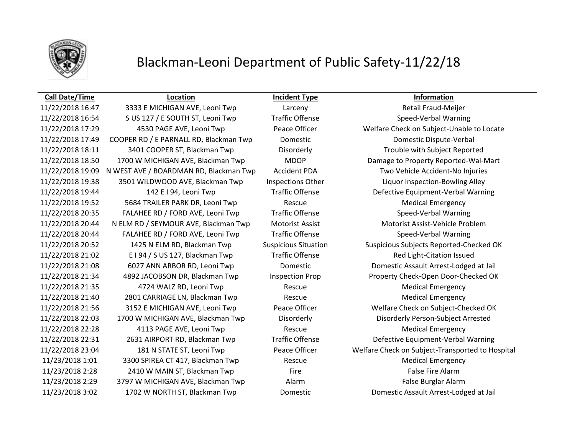

## Blackman-Leoni Department of Public Safety-11/22/18

## **Call Date/Time Location Incident Type Information**

11/22/2018 16:47 3333 E MICHIGAN AVE, Leoni Twp Larceny Retail Fraud-Meijer 11/22/2018 16:54 S US 127 / E SOUTH ST, Leoni Twp Traffic Offense Speed-Verbal Warning 11/22/2018 17:49 COOPER RD / E PARNALL RD, Blackman Twp Domestic Domestic Dispute-Verbal 11/22/2018 18:11 3401 COOPER ST, Blackman Twp Disorderly Trouble with Subject Reported 11/22/2018 19:09 N WEST AVE / BOARDMAN RD, Blackman Twp Accident PDA Two Vehicle Accident-No Injuries 11/22/2018 19:38 3501 WILDWOOD AVE, Blackman Twp Inspections Other Liquor Inspection-Bowling Alley 11/22/2018 19:44 142 E I 94, Leoni Twp Traffic Offense Defective Equipment-Verbal Warning 11/22/2018 19:52 5684 TRAILER PARK DR, Leoni Twp Rescue Medical Emergency 11/22/2018 20:35 FALAHEE RD / FORD AVE, Leoni Twp Traffic Offense Speed-Verbal Warning 11/22/2018 20:44 N ELM RD / SEYMOUR AVE, Blackman Twp Motorist Assist Motorist Assist-Vehicle Problem 11/22/2018 20:44 FALAHEE RD / FORD AVE, Leoni Twp Traffic Offense Speed-Verbal Warning 11/22/2018 21:02 E I 94 / S US 127, Blackman Twp Traffic Offense Traffic Red Light-Citation Issued 11/22/2018 21:08 6027 ANN ARBOR RD, Leoni Twp Domestic Domestic Assault Arrest-Lodged at Jail 11/22/2018 21:35 4724 WALZ RD, Leoni Twp Rescue Medical Emergency 11/22/2018 21:40 2801 CARRIAGE LN, Blackman Twp Rescue Medical Emergency 11/22/2018 22:03 1700 W MICHIGAN AVE, Blackman Twp Disorderly Disorderly Person-Subject Arrested 11/22/2018 22:28 4113 PAGE AVE, Leoni Twp Rescue Medical Emergency 11/22/2018 22:31 2631 AIRPORT RD, Blackman Twp Traffic Offense Defective Equipment-Verbal Warning 11/23/2018 1:01 3300 SPIREA CT 417, Blackman Twp Rescue Rescue Medical Emergency 11/23/2018 2:28 2410 W MAIN ST, Blackman Twp Fire Fire Fire False Fire Alarm 11/23/2018 2:29 3797 W MICHIGAN AVE, Blackman Twp Alarm Alarm False Burglar Alarm 11/23/2018 3:02 1702 W NORTH ST, Blackman Twp Domestic Domestic Assault Arrest-Lodged at Jail

11/22/2018 17:29 4530 PAGE AVE, Leoni Twp Peace Officer Welfare Check on Subject-Unable to Locate 11/22/2018 18:50 1700 W MICHIGAN AVE, Blackman Twp MDOP Damage to Property Reported-Wal-Mart 11/22/2018 20:52 1425 N ELM RD, Blackman Twp Suspicious Situation Suspicious Subjects Reported-Checked OK 11/22/2018 21:34 4892 JACOBSON DR, Blackman Twp Inspection Prop Property Check-Open Door-Checked OK 11/22/2018 21:56 3152 E MICHIGAN AVE, Leoni Twp Peace Officer Welfare Check on Subject-Checked OK 11/22/2018 23:04 181 N STATE ST, Leoni Twp Peace Officer Welfare Check on Subject-Transported to Hospital